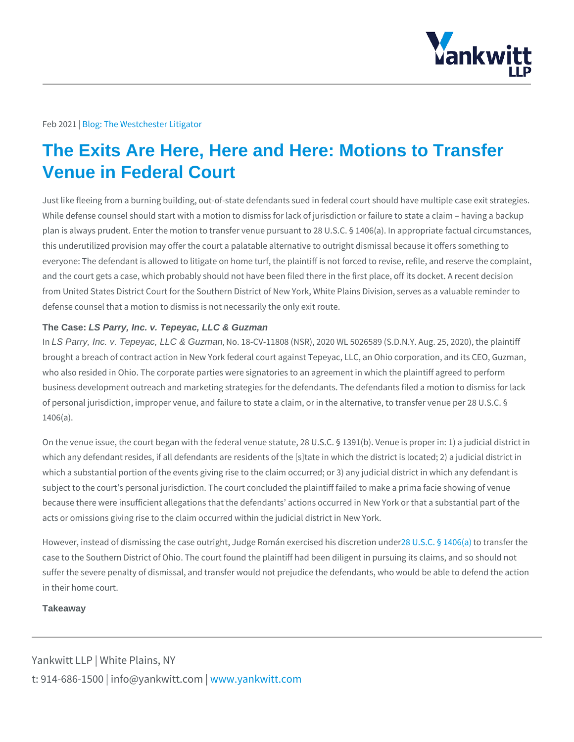## Feb 2022 bg: The Westchester Litigator

## The Exits Are Here, Here and Here: Motions to Transfer Venue in Federal Court

Just like fleeing from a burning building, out-of-state defendants sued in federal While defense counsel should start with a motion to dismiss for lack of jurisdicti plan is always prudent. Enter the motion to transfer venue pursuant to 28 U.S.C. this underutilized provision may offer the court a palatable alternative to outright everyone: The defendant is allowed to litigate on home turf, the plaintiff is not f and the court gets a case, which probably should not have been filed there in the from United States District Court for the Southern District of New York, White Pl defense counsel that a motion to dismiss is not necessarily the only exit route.

## The Case: LS Parry, Inc. v. Tepeyac, LLC & Guzman

In LS Parry, Inc. v. Tepeyac, LLC & Guzman, No. 18-CV-11808 (NSR), 2020 WL 5026589 (S.D.N.Y. brought a breach of contract action in New York federal court against Tepeyac, L who also resided in Ohio. The corporate parties were signatories to an agreement business development outreach and marketing strategies for the defendants. The of personal jurisdiction, improper venue, and failure to state a claim, or in the a 1406(a).

On the venue issue, the court began with the federal venue statute, 28 U.S.C. § which any defendant resides, if all defendants are residents of the [s]tate in whi which a substantial portion of the events giving rise to the claim occurred; or 3) subject to the court s personal jurisdiction. The court concluded the plaintiff fai because there were insufficient allegations that the defendants actions occurred acts or omissions giving rise to the claim occurred within the judicial district in

However, instead of dismissing the case outright, Judge & Wolm SanCex Speed odinisaten (daifheirs tothies case to the Southern District of Ohio. The court found the plaintiff had been dili suffer the severe penalty of dismissal, and transfer would not prejudice the defe in their home court.

**Takeaway** 

Yankwitt LLP | White Plains, NY t:  $914 - 686 - 1500$  | info@y wawn ky wom it kt wo it between  $p$  m.